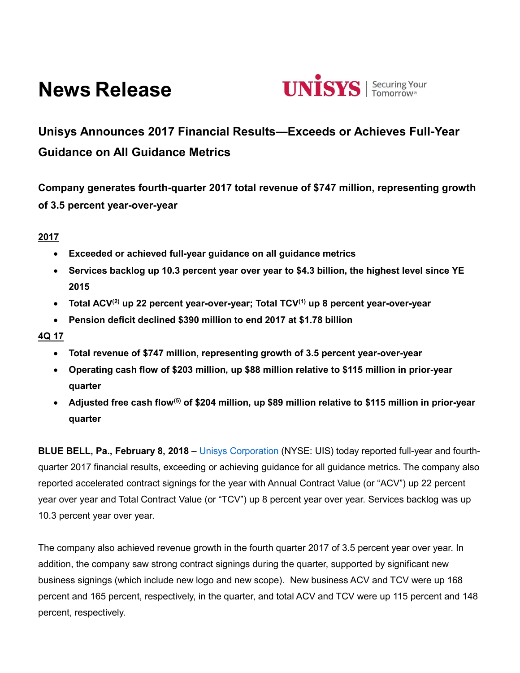# **News Release**



# **Unisys Announces 2017 Financial Results—Exceeds or Achieves Full-Year Guidance on All Guidance Metrics**

**Company generates fourth-quarter 2017 total revenue of \$747 million, representing growth of 3.5 percent year-over-year**

# **2017**

- **Exceeded or achieved full-year guidance on all guidance metrics**
- **Services backlog up 10.3 percent year over year to \$4.3 billion, the highest level since YE 2015**
- **Total ACV(2) up 22 percent year-over-year; Total TCV(1) up 8 percent year-over-year**
- **Pension deficit declined \$390 million to end 2017 at \$1.78 billion**

# **4Q 17**

- **Total revenue of \$747 million, representing growth of 3.5 percent year-over-year**
- **Operating cash flow of \$203 million, up \$88 million relative to \$115 million in prior-year quarter**
- **Adjusted free cash flow(5) of \$204 million, up \$89 million relative to \$115 million in prior-year quarter**

**BLUE BELL, Pa., February 8, 2018** – [Unisys Corporation](http://www.unisys.com/) (NYSE: UIS) today reported full-year and fourthquarter 2017 financial results, exceeding or achieving guidance for all guidance metrics. The company also reported accelerated contract signings for the year with Annual Contract Value (or "ACV") up 22 percent year over year and Total Contract Value (or "TCV") up 8 percent year over year. Services backlog was up 10.3 percent year over year.

The company also achieved revenue growth in the fourth quarter 2017 of 3.5 percent year over year. In addition, the company saw strong contract signings during the quarter, supported by significant new business signings (which include new logo and new scope). New business ACV and TCV were up 168 percent and 165 percent, respectively, in the quarter, and total ACV and TCV were up 115 percent and 148 percent, respectively.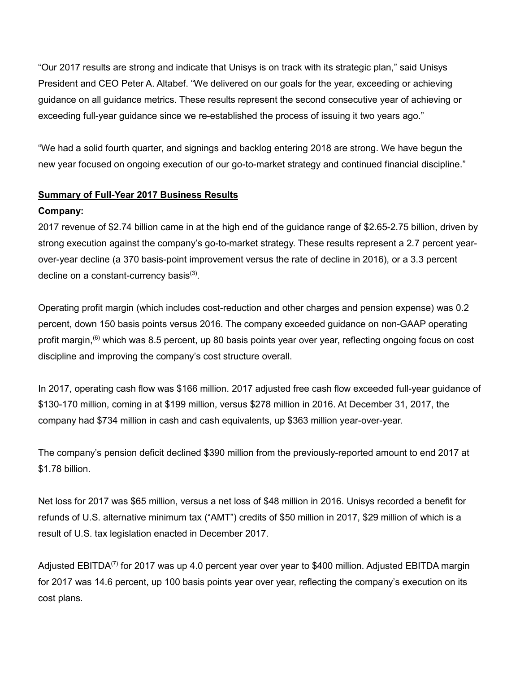"Our 2017 results are strong and indicate that Unisys is on track with its strategic plan," said Unisys President and CEO Peter A. Altabef. "We delivered on our goals for the year, exceeding or achieving guidance on all guidance metrics. These results represent the second consecutive year of achieving or exceeding full-year guidance since we re-established the process of issuing it two years ago."

"We had a solid fourth quarter, and signings and backlog entering 2018 are strong. We have begun the new year focused on ongoing execution of our go-to-market strategy and continued financial discipline."

# **Summary of Full-Year 2017 Business Results**

# **Company:**

2017 revenue of \$2.74 billion came in at the high end of the guidance range of \$2.65-2.75 billion, driven by strong execution against the company's go-to-market strategy. These results represent a 2.7 percent yearover-year decline (a 370 basis-point improvement versus the rate of decline in 2016), or a 3.3 percent decline on a constant-currency basis $^{(3)}$ .

Operating profit margin (which includes cost-reduction and other charges and pension expense) was 0.2 percent, down 150 basis points versus 2016. The company exceeded guidance on non-GAAP operating profit margin,<sup>(6)</sup> which was 8.5 percent, up 80 basis points year over year, reflecting ongoing focus on cost discipline and improving the company's cost structure overall.

In 2017, operating cash flow was \$166 million. 2017 adjusted free cash flow exceeded full-year guidance of \$130-170 million, coming in at \$199 million, versus \$278 million in 2016. At December 31, 2017, the company had \$734 million in cash and cash equivalents, up \$363 million year-over-year.

The company's pension deficit declined \$390 million from the previously-reported amount to end 2017 at \$1.78 billion.

Net loss for 2017 was \$65 million, versus a net loss of \$48 million in 2016. Unisys recorded a benefit for refunds of U.S. alternative minimum tax ("AMT") credits of \$50 million in 2017, \$29 million of which is a result of U.S. tax legislation enacted in December 2017.

Adjusted EBITDA<sup>(7)</sup> for 2017 was up 4.0 percent year over year to \$400 million. Adjusted EBITDA margin for 2017 was 14.6 percent, up 100 basis points year over year, reflecting the company's execution on its cost plans.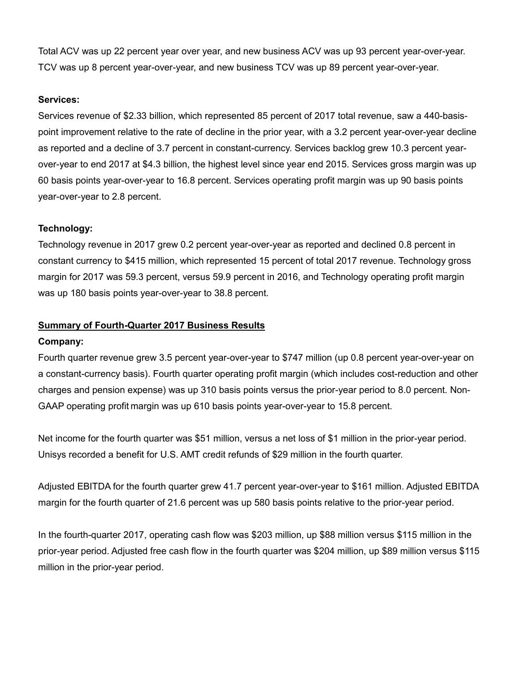Total ACV was up 22 percent year over year, and new business ACV was up 93 percent year-over-year. TCV was up 8 percent year-over-year, and new business TCV was up 89 percent year-over-year.

#### **Services:**

Services revenue of \$2.33 billion, which represented 85 percent of 2017 total revenue, saw a 440-basispoint improvement relative to the rate of decline in the prior year, with a 3.2 percent year-over-year decline as reported and a decline of 3.7 percent in constant-currency. Services backlog grew 10.3 percent yearover-year to end 2017 at \$4.3 billion, the highest level since year end 2015. Services gross margin was up 60 basis points year-over-year to 16.8 percent. Services operating profit margin was up 90 basis points year-over-year to 2.8 percent.

# **Technology:**

Technology revenue in 2017 grew 0.2 percent year-over-year as reported and declined 0.8 percent in constant currency to \$415 million, which represented 15 percent of total 2017 revenue. Technology gross margin for 2017 was 59.3 percent, versus 59.9 percent in 2016, and Technology operating profit margin was up 180 basis points year-over-year to 38.8 percent.

# **Summary of Fourth-Quarter 2017 Business Results**

# **Company:**

Fourth quarter revenue grew 3.5 percent year-over-year to \$747 million (up 0.8 percent year-over-year on a constant-currency basis). Fourth quarter operating profit margin (which includes cost-reduction and other charges and pension expense) was up 310 basis points versus the prior-year period to 8.0 percent. Non-GAAP operating profit margin was up 610 basis points year-over-year to 15.8 percent.

Net income for the fourth quarter was \$51 million, versus a net loss of \$1 million in the prior-year period. Unisys recorded a benefit for U.S. AMT credit refunds of \$29 million in the fourth quarter.

Adjusted EBITDA for the fourth quarter grew 41.7 percent year-over-year to \$161 million. Adjusted EBITDA margin for the fourth quarter of 21.6 percent was up 580 basis points relative to the prior-year period.

In the fourth-quarter 2017, operating cash flow was \$203 million, up \$88 million versus \$115 million in the prior-year period. Adjusted free cash flow in the fourth quarter was \$204 million, up \$89 million versus \$115 million in the prior-year period.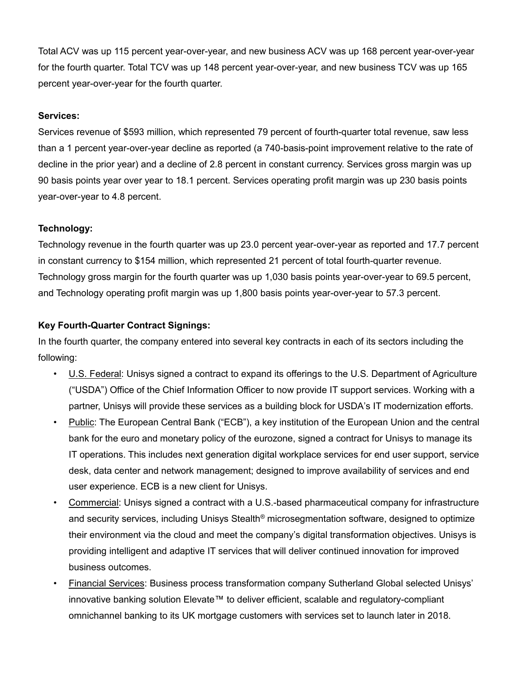Total ACV was up 115 percent year-over-year, and new business ACV was up 168 percent year-over-year for the fourth quarter. Total TCV was up 148 percent year-over-year, and new business TCV was up 165 percent year-over-year for the fourth quarter.

# **Services:**

Services revenue of \$593 million, which represented 79 percent of fourth-quarter total revenue, saw less than a 1 percent year-over-year decline as reported (a 740-basis-point improvement relative to the rate of decline in the prior year) and a decline of 2.8 percent in constant currency. Services gross margin was up 90 basis points year over year to 18.1 percent. Services operating profit margin was up 230 basis points year-over-year to 4.8 percent.

# **Technology:**

Technology revenue in the fourth quarter was up 23.0 percent year-over-year as reported and 17.7 percent in constant currency to \$154 million, which represented 21 percent of total fourth-quarter revenue. Technology gross margin for the fourth quarter was up 1,030 basis points year-over-year to 69.5 percent, and Technology operating profit margin was up 1,800 basis points year-over-year to 57.3 percent.

# **Key Fourth-Quarter Contract Signings:**

In the fourth quarter, the company entered into several key contracts in each of its sectors including the following:

- U.S. Federal: Unisys signed a contract to expand its offerings to the U.S. Department of Agriculture ("USDA") Office of the Chief Information Officer to now provide IT support services. Working with a partner, Unisys will provide these services as a building block for USDA's IT modernization efforts.
- Public: The European Central Bank ("ECB"), a key institution of the European Union and the central bank for the euro and monetary policy of the eurozone, signed a contract for Unisys to manage its IT operations. This includes next generation digital workplace services for end user support, service desk, data center and network management; designed to improve availability of services and end user experience. ECB is a new client for Unisys.
- Commercial: Unisys signed a contract with a U.S.-based pharmaceutical company for infrastructure and security services, including Unisys Stealth<sup>®</sup> microsegmentation software, designed to optimize their environment via the cloud and meet the company's digital transformation objectives. Unisys is providing intelligent and adaptive IT services that will deliver continued innovation for improved business outcomes.
- Financial Services: Business process transformation company Sutherland Global selected Unisys' innovative banking solution Elevate™ to deliver efficient, scalable and regulatory-compliant omnichannel banking to its UK mortgage customers with services set to launch later in 2018.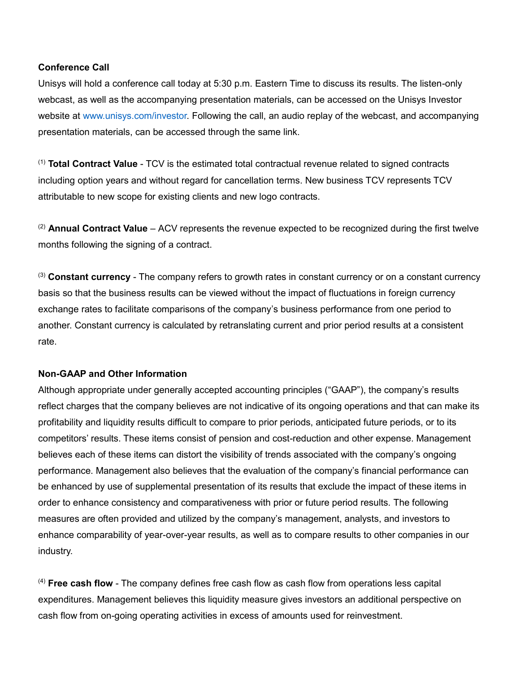#### **Conference Call**

Unisys will hold a conference call today at 5:30 p.m. Eastern Time to discuss its results. The listen-only webcast, as well as the accompanying presentation materials, can be accessed on the Unisys Investor website at [www.unisys.com/investor.](http://www.unisys.com/investor) Following the call, an audio replay of the webcast, and accompanying presentation materials, can be accessed through the same link.

(1) **Total Contract Value** - TCV is the estimated total contractual revenue related to signed contracts including option years and without regard for cancellation terms. New business TCV represents TCV attributable to new scope for existing clients and new logo contracts.

(2) **Annual Contract Value** – ACV represents the revenue expected to be recognized during the first twelve months following the signing of a contract.

(3) **Constant currency** - The company refers to growth rates in constant currency or on a constant currency basis so that the business results can be viewed without the impact of fluctuations in foreign currency exchange rates to facilitate comparisons of the company's business performance from one period to another. Constant currency is calculated by retranslating current and prior period results at a consistent rate.

# **Non-GAAP and Other Information**

Although appropriate under generally accepted accounting principles ("GAAP"), the company's results reflect charges that the company believes are not indicative of its ongoing operations and that can make its profitability and liquidity results difficult to compare to prior periods, anticipated future periods, or to its competitors' results. These items consist of pension and cost-reduction and other expense. Management believes each of these items can distort the visibility of trends associated with the company's ongoing performance. Management also believes that the evaluation of the company's financial performance can be enhanced by use of supplemental presentation of its results that exclude the impact of these items in order to enhance consistency and comparativeness with prior or future period results. The following measures are often provided and utilized by the company's management, analysts, and investors to enhance comparability of year-over-year results, as well as to compare results to other companies in our industry.

(4) **Free cash flow** - The company defines free cash flow as cash flow from operations less capital expenditures. Management believes this liquidity measure gives investors an additional perspective on cash flow from on-going operating activities in excess of amounts used for reinvestment.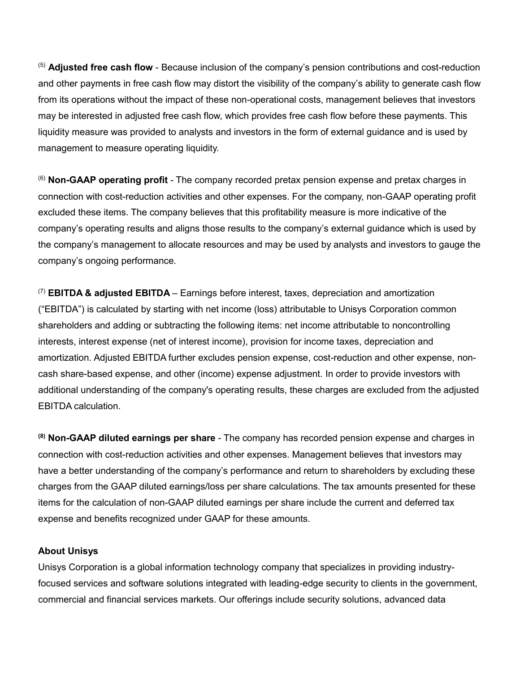(5) **Adjusted free cash flow** - Because inclusion of the company's pension contributions and cost-reduction and other payments in free cash flow may distort the visibility of the company's ability to generate cash flow from its operations without the impact of these non-operational costs, management believes that investors may be interested in adjusted free cash flow, which provides free cash flow before these payments. This liquidity measure was provided to analysts and investors in the form of external guidance and is used by management to measure operating liquidity.

(6) **Non-GAAP operating profit** - The company recorded pretax pension expense and pretax charges in connection with cost-reduction activities and other expenses. For the company, non-GAAP operating profit excluded these items. The company believes that this profitability measure is more indicative of the company's operating results and aligns those results to the company's external guidance which is used by the company's management to allocate resources and may be used by analysts and investors to gauge the company's ongoing performance.

(7) **EBITDA & adjusted EBITDA** – Earnings before interest, taxes, depreciation and amortization ("EBITDA") is calculated by starting with net income (loss) attributable to Unisys Corporation common shareholders and adding or subtracting the following items: net income attributable to noncontrolling interests, interest expense (net of interest income), provision for income taxes, depreciation and amortization. Adjusted EBITDA further excludes pension expense, cost-reduction and other expense, noncash share-based expense, and other (income) expense adjustment. In order to provide investors with additional understanding of the company's operating results, these charges are excluded from the adjusted EBITDA calculation.

**(8) Non-GAAP diluted earnings per share** - The company has recorded pension expense and charges in connection with cost-reduction activities and other expenses. Management believes that investors may have a better understanding of the company's performance and return to shareholders by excluding these charges from the GAAP diluted earnings/loss per share calculations. The tax amounts presented for these items for the calculation of non-GAAP diluted earnings per share include the current and deferred tax expense and benefits recognized under GAAP for these amounts.

#### **About Unisys**

Unisys Corporation is a global information technology company that specializes in providing industryfocused services and software solutions integrated with leading-edge security to clients in the government, commercial and financial services markets. Our offerings include security solutions, advanced data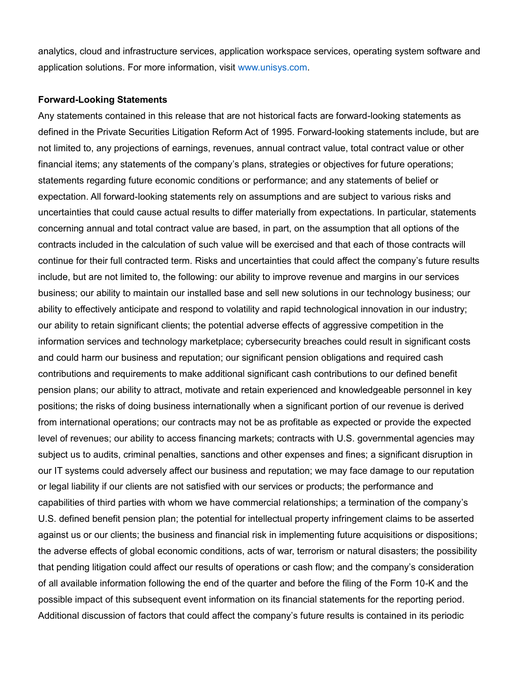analytics, cloud and infrastructure services, application workspace services, operating system software and application solutions. For more information, visit [www.unisys.com.](http://www.unisys.com/)

#### **Forward-Looking Statements**

Any statements contained in this release that are not historical facts are forward-looking statements as defined in the Private Securities Litigation Reform Act of 1995. Forward-looking statements include, but are not limited to, any projections of earnings, revenues, annual contract value, total contract value or other financial items; any statements of the company's plans, strategies or objectives for future operations; statements regarding future economic conditions or performance; and any statements of belief or expectation. All forward-looking statements rely on assumptions and are subject to various risks and uncertainties that could cause actual results to differ materially from expectations. In particular, statements concerning annual and total contract value are based, in part, on the assumption that all options of the contracts included in the calculation of such value will be exercised and that each of those contracts will continue for their full contracted term. Risks and uncertainties that could affect the company's future results include, but are not limited to, the following: our ability to improve revenue and margins in our services business; our ability to maintain our installed base and sell new solutions in our technology business; our ability to effectively anticipate and respond to volatility and rapid technological innovation in our industry; our ability to retain significant clients; the potential adverse effects of aggressive competition in the information services and technology marketplace; cybersecurity breaches could result in significant costs and could harm our business and reputation; our significant pension obligations and required cash contributions and requirements to make additional significant cash contributions to our defined benefit pension plans; our ability to attract, motivate and retain experienced and knowledgeable personnel in key positions; the risks of doing business internationally when a significant portion of our revenue is derived from international operations; our contracts may not be as profitable as expected or provide the expected level of revenues; our ability to access financing markets; contracts with U.S. governmental agencies may subject us to audits, criminal penalties, sanctions and other expenses and fines; a significant disruption in our IT systems could adversely affect our business and reputation; we may face damage to our reputation or legal liability if our clients are not satisfied with our services or products; the performance and capabilities of third parties with whom we have commercial relationships; a termination of the company's U.S. defined benefit pension plan; the potential for intellectual property infringement claims to be asserted against us or our clients; the business and financial risk in implementing future acquisitions or dispositions; the adverse effects of global economic conditions, acts of war, terrorism or natural disasters; the possibility that pending litigation could affect our results of operations or cash flow; and the company's consideration of all available information following the end of the quarter and before the filing of the Form 10-K and the possible impact of this subsequent event information on its financial statements for the reporting period. Additional discussion of factors that could affect the company's future results is contained in its periodic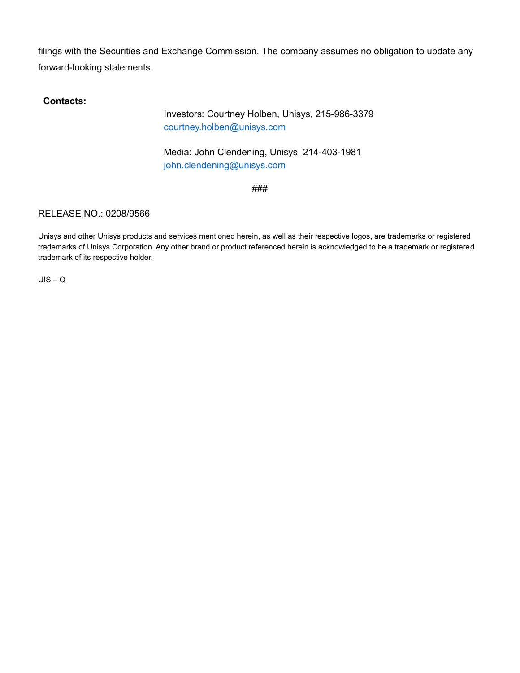filings with the Securities and Exchange Commission. The company assumes no obligation to update any forward-looking statements.

**Contacts:**

Investors: Courtney Holben, Unisys, 215-986-3379 [courtney.holben@unisys.com](mailto:courtney.holben@unisys.com)

Media: John Clendening, Unisys, 214-403-1981 [john.clendening@unisys.com](mailto:john.clendening@unisys.com)

###

# RELEASE NO.: 0208/9566

Unisys and other Unisys products and services mentioned herein, as well as their respective logos, are trademarks or registered trademarks of Unisys Corporation. Any other brand or product referenced herein is acknowledged to be a trademark or registered trademark of its respective holder.

 $UIS - Q$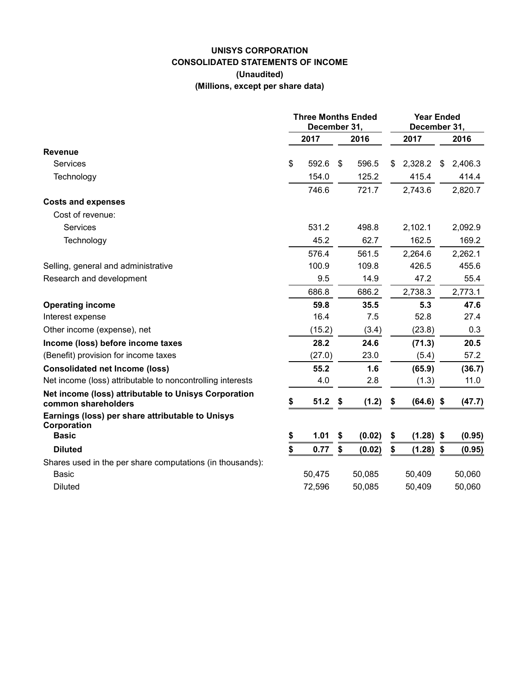# **UNISYS CORPORATION CONSOLIDATED STATEMENTS OF INCOME (Unaudited) (Millions, except per share data)**

|                                                                             | <b>Three Months Ended</b><br>December 31, |        |    |        | <b>Year Ended</b><br>December 31, |             |    |         |  |
|-----------------------------------------------------------------------------|-------------------------------------------|--------|----|--------|-----------------------------------|-------------|----|---------|--|
|                                                                             |                                           | 2017   |    | 2016   |                                   | 2017        |    | 2016    |  |
| <b>Revenue</b>                                                              |                                           |        |    |        |                                   |             |    |         |  |
| <b>Services</b>                                                             | \$                                        | 592.6  | \$ | 596.5  | \$.                               | 2,328.2     | \$ | 2,406.3 |  |
| Technology                                                                  |                                           | 154.0  |    | 125.2  |                                   | 415.4       |    | 414.4   |  |
|                                                                             |                                           | 746.6  |    | 721.7  |                                   | 2,743.6     |    | 2,820.7 |  |
| <b>Costs and expenses</b>                                                   |                                           |        |    |        |                                   |             |    |         |  |
| Cost of revenue:                                                            |                                           |        |    |        |                                   |             |    |         |  |
| <b>Services</b>                                                             |                                           | 531.2  |    | 498.8  |                                   | 2,102.1     |    | 2,092.9 |  |
| Technology                                                                  |                                           | 45.2   |    | 62.7   |                                   | 162.5       |    | 169.2   |  |
|                                                                             |                                           | 576.4  |    | 561.5  |                                   | 2,264.6     |    | 2,262.1 |  |
| Selling, general and administrative                                         |                                           | 100.9  |    | 109.8  |                                   | 426.5       |    | 455.6   |  |
| Research and development                                                    |                                           | 9.5    |    | 14.9   |                                   | 47.2        |    | 55.4    |  |
|                                                                             |                                           | 686.8  |    | 686.2  |                                   | 2,738.3     |    | 2,773.1 |  |
| <b>Operating income</b>                                                     |                                           | 59.8   |    | 35.5   |                                   | 5.3         |    | 47.6    |  |
| Interest expense                                                            |                                           | 16.4   |    | 7.5    |                                   | 52.8        |    | 27.4    |  |
| Other income (expense), net                                                 |                                           | (15.2) |    | (3.4)  |                                   | (23.8)      |    | 0.3     |  |
| Income (loss) before income taxes                                           |                                           | 28.2   |    | 24.6   |                                   | (71.3)      |    | 20.5    |  |
| (Benefit) provision for income taxes                                        |                                           | (27.0) |    | 23.0   |                                   | (5.4)       |    | 57.2    |  |
| <b>Consolidated net Income (loss)</b>                                       |                                           | 55.2   |    | 1.6    |                                   | (65.9)      |    | (36.7)  |  |
| Net income (loss) attributable to noncontrolling interests                  |                                           | 4.0    |    | 2.8    |                                   | (1.3)       |    | 11.0    |  |
| Net income (loss) attributable to Unisys Corporation<br>common shareholders | \$                                        | 51.2   | \$ | (1.2)  | \$                                | $(64.6)$ \$ |    | (47.7)  |  |
| Earnings (loss) per share attributable to Unisys<br>Corporation             |                                           |        |    |        |                                   |             |    |         |  |
| <b>Basic</b>                                                                | \$                                        | 1.01   | \$ | (0.02) | \$                                | $(1.28)$ \$ |    | (0.95)  |  |
| <b>Diluted</b>                                                              | \$                                        | 0.77   | \$ | (0.02) | \$                                | $(1.28)$ \$ |    | (0.95)  |  |
| Shares used in the per share computations (in thousands):                   |                                           |        |    |        |                                   |             |    |         |  |
| Basic                                                                       |                                           | 50,475 |    | 50,085 |                                   | 50,409      |    | 50,060  |  |
| <b>Diluted</b>                                                              |                                           | 72,596 |    | 50,085 |                                   | 50,409      |    | 50,060  |  |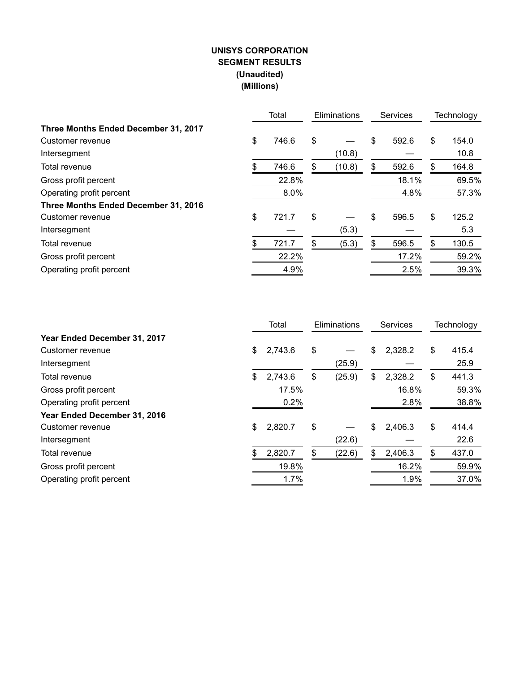# **UNISYS CORPORATION SEGMENT RESULTS (Unaudited) (Millions)**

|                                      |     | Total | Eliminations |        | <b>Services</b> | Technology  |  |
|--------------------------------------|-----|-------|--------------|--------|-----------------|-------------|--|
| Three Months Ended December 31, 2017 |     |       |              |        |                 |             |  |
| Customer revenue                     | \$  | 746.6 | \$           |        | \$<br>592.6     | \$<br>154.0 |  |
| Intersegment                         |     |       |              | (10.8) |                 | 10.8        |  |
| Total revenue                        | \$  | 746.6 | \$           | (10.8) | \$<br>592.6     | \$<br>164.8 |  |
| Gross profit percent                 |     | 22.8% |              |        | 18.1%           | 69.5%       |  |
| Operating profit percent             |     | 8.0%  |              |        | 4.8%            | 57.3%       |  |
| Three Months Ended December 31, 2016 |     |       |              |        |                 |             |  |
| Customer revenue                     | \$  | 721.7 | \$           |        | \$<br>596.5     | \$<br>125.2 |  |
| Intersegment                         |     |       |              | (5.3)  |                 | 5.3         |  |
| Total revenue                        | \$. | 721.7 | \$           | (5.3)  | \$<br>596.5     | \$<br>130.5 |  |
| Gross profit percent                 |     | 22.2% |              |        | 17.2%           | 59.2%       |  |
| Operating profit percent             |     | 4.9%  |              |        | 2.5%            | 39.3%       |  |

|                              | Total         | Eliminations |        | <b>Services</b> |    | Technology |
|------------------------------|---------------|--------------|--------|-----------------|----|------------|
| Year Ended December 31, 2017 |               |              |        |                 |    |            |
| Customer revenue             | \$<br>2,743.6 | \$           |        | \$<br>2,328.2   | \$ | 415.4      |
| Intersegment                 |               |              | (25.9) |                 |    | 25.9       |
| Total revenue                | \$<br>2,743.6 | \$           | (25.9) | \$<br>2,328.2   | \$ | 441.3      |
| Gross profit percent         | 17.5%         |              |        | 16.8%           |    | 59.3%      |
| Operating profit percent     | 0.2%          |              |        | 2.8%            |    | 38.8%      |
| Year Ended December 31, 2016 |               |              |        |                 |    |            |
| Customer revenue             | \$<br>2,820.7 | \$           |        | \$<br>2,406.3   | \$ | 414.4      |
| Intersegment                 |               |              | (22.6) |                 |    | 22.6       |
| Total revenue                | \$<br>2,820.7 | \$           | (22.6) | \$<br>2,406.3   | \$ | 437.0      |
| Gross profit percent         | 19.8%         |              |        | 16.2%           |    | 59.9%      |
| Operating profit percent     | 1.7%          |              |        | 1.9%            |    | 37.0%      |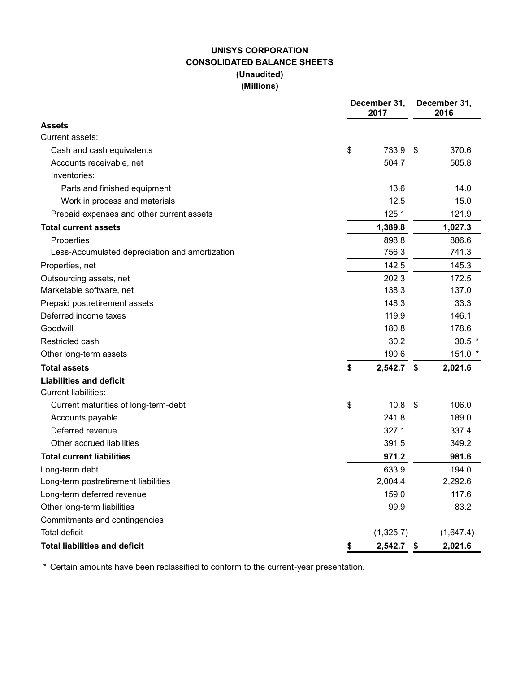# **UNISYS CORPORATION CONSOLIDATED BALANCE SHEETS (Unaudited) (Millions)**

|                                                | December 31,<br>2017 |      | December 31,<br>2016 |
|------------------------------------------------|----------------------|------|----------------------|
| <b>Assets</b>                                  |                      |      |                      |
| Current assets:                                |                      |      |                      |
| Cash and cash equivalents                      | \$<br>733.9          | - \$ | 370.6                |
| Accounts receivable, net                       | 504.7                |      | 505.8                |
| Inventories:                                   |                      |      |                      |
| Parts and finished equipment                   | 13.6                 |      | 14.0                 |
| Work in process and materials                  | 12.5                 |      | 15.0                 |
| Prepaid expenses and other current assets      | 125.1                |      | 121.9                |
| <b>Total current assets</b>                    | 1,389.8              |      | 1,027.3              |
| Properties                                     | 898.8                |      | 886.6                |
| Less-Accumulated depreciation and amortization | 756.3                |      | 741.3                |
| Properties, net                                | 142.5                |      | 145.3                |
| Outsourcing assets, net                        | 202.3                |      | 172.5                |
| Marketable software, net                       | 138.3                |      | 137.0                |
| Prepaid postretirement assets                  | 148.3                |      | 33.3                 |
| Deferred income taxes                          | 119.9                |      | 146.1                |
| Goodwill                                       | 180.8                |      | 178.6                |
| Restricted cash                                | 30.2                 |      | $30.5$ *             |
| Other long-term assets                         | 190.6                |      | 151.0 *              |
| <b>Total assets</b>                            | \$<br>2,542.7        | \$   | 2,021.6              |
| <b>Liabilities and deficit</b>                 |                      |      |                      |
| <b>Current liabilities:</b>                    |                      |      |                      |
| Current maturities of long-term-debt           | \$<br>10.8           | -\$  | 106.0                |
| Accounts payable                               | 241.8                |      | 189.0                |
| Deferred revenue                               | 327.1                |      | 337.4                |
| Other accrued liabilities                      | 391.5                |      | 349.2                |
| <b>Total current liabilities</b>               | 971.2                |      | 981.6                |
| Long-term debt                                 | 633.9                |      | 194.0                |
| Long-term postretirement liabilities           | 2,004.4              |      | 2,292.6              |
| Long-term deferred revenue                     | 159.0                |      | 117.6                |
| Other long-term liabilities                    | 99.9                 |      | 83.2                 |
| Commitments and contingencies                  |                      |      |                      |
| <b>Total deficit</b>                           | (1,325.7)            |      | (1,647.4)            |
| <b>Total liabilities and deficit</b>           | \$<br>$2,542.7$ \$   |      | 2,021.6              |

\* Certain amounts have been reclassified to conform to the current-year presentation.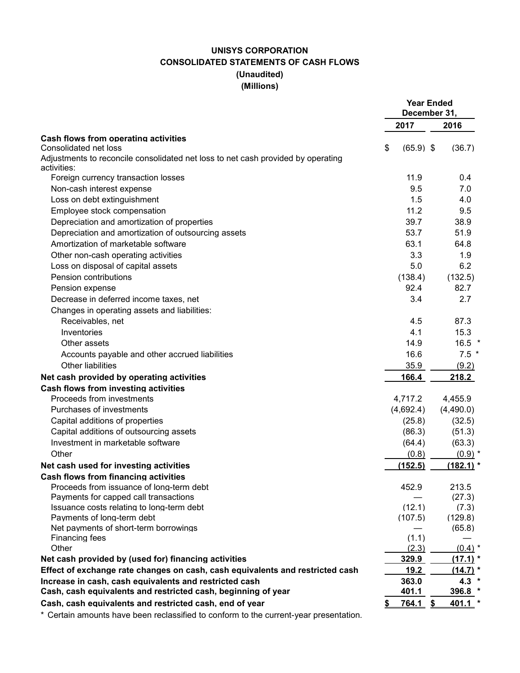# **UNISYS CORPORATION CONSOLIDATED STATEMENTS OF CASH FLOWS (Unaudited) (Millions)**

|                                                                                                 | <b>Year Ended</b><br>December 31, |             |
|-------------------------------------------------------------------------------------------------|-----------------------------------|-------------|
|                                                                                                 | 2017                              | 2016        |
| Cash flows from operating activities<br>Consolidated net loss                                   | $(65.9)$ \$<br>\$                 | (36.7)      |
| Adjustments to reconcile consolidated net loss to net cash provided by operating<br>activities: |                                   |             |
| Foreign currency transaction losses                                                             | 11.9                              | 0.4         |
| Non-cash interest expense                                                                       | 9.5                               | 7.0         |
| Loss on debt extinguishment                                                                     | 1.5                               | 4.0         |
| Employee stock compensation                                                                     | 11.2                              | 9.5         |
| Depreciation and amortization of properties                                                     | 39.7                              | 38.9        |
| Depreciation and amortization of outsourcing assets                                             | 53.7                              | 51.9        |
| Amortization of marketable software                                                             | 63.1                              | 64.8        |
| Other non-cash operating activities                                                             | 3.3                               | 1.9         |
| Loss on disposal of capital assets                                                              | 5.0                               | 6.2         |
| Pension contributions                                                                           | (138.4)                           | (132.5)     |
| Pension expense                                                                                 | 92.4                              | 82.7        |
| Decrease in deferred income taxes, net                                                          | 3.4                               | 2.7         |
| Changes in operating assets and liabilities:                                                    |                                   |             |
| Receivables, net                                                                                | 4.5                               | 87.3        |
| Inventories                                                                                     | 4.1                               | 15.3        |
| Other assets                                                                                    | 14.9                              | $16.5$ *    |
|                                                                                                 | 16.6                              | $7.5*$      |
| Accounts payable and other accrued liabilities<br><b>Other liabilities</b>                      | 35.9                              |             |
|                                                                                                 |                                   | (9.2)       |
| Net cash provided by operating activities                                                       | 166.4                             | 218.2       |
| <b>Cash flows from investing activities</b><br>Proceeds from investments                        |                                   |             |
|                                                                                                 | 4,717.2                           | 4,455.9     |
| Purchases of investments                                                                        | (4,692.4)                         | (4,490.0)   |
| Capital additions of properties                                                                 | (25.8)                            | (32.5)      |
| Capital additions of outsourcing assets                                                         | (86.3)                            | (51.3)      |
| Investment in marketable software                                                               | (64.4)                            | (63.3)      |
| Other                                                                                           | (0.8)                             | $(0.9)$ *   |
| Net cash used for investing activities                                                          | (152.5)                           | $(182.1)$ * |
| Cash flows from financing activities                                                            |                                   |             |
| Proceeds from issuance of long-term debt                                                        | 452.9                             | 213.5       |
| Payments for capped call transactions                                                           |                                   | (27.3)      |
| Issuance costs relating to long-term debt                                                       | (12.1)                            | (7.3)       |
| Payments of long-term debt<br>Net payments of short-term borrowings                             | (107.5)                           | (129.8)     |
| Financing fees                                                                                  | (1.1)                             | (65.8)      |
| Other                                                                                           | (2.3)                             | $(0.4)$ *   |
| Net cash provided by (used for) financing activities                                            | 329.9                             | (17.1)      |
| Effect of exchange rate changes on cash, cash equivalents and restricted cash                   | 19.2                              | $(14.7)$ *  |
| Increase in cash, cash equivalents and restricted cash                                          | 363.0                             | $4.3*$      |
| Cash, cash equivalents and restricted cash, beginning of year                                   | 401.1                             | 396.8 *     |
| Cash, cash equivalents and restricted cash, end of year                                         | $764.1$ \$                        | $401.1$ *   |
|                                                                                                 |                                   |             |

Certain amounts have been reclassified to conform to the current-year presentation.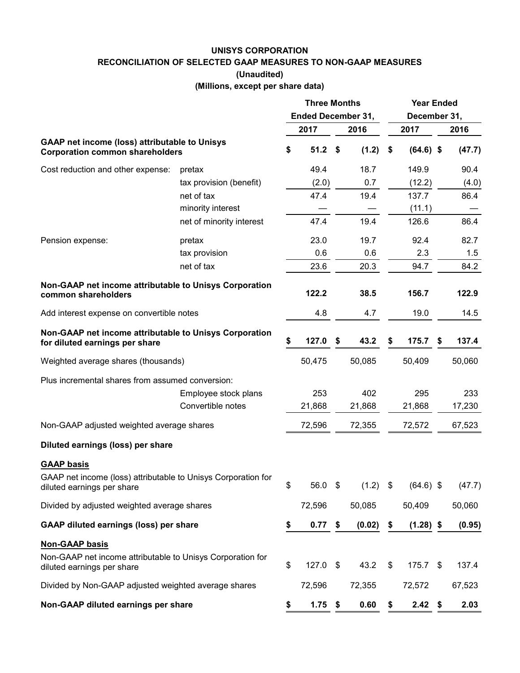#### **UNISYS CORPORATION**

**RECONCILIATION OF SELECTED GAAP MEASURES TO NON-GAAP MEASURES**

**(Unaudited)**

**(Millions, except per share data)**

|                                                                                                                   |                          | <b>Three Months</b><br><b>Ended December 31,</b> |            |     |        |    | <b>Year Ended</b><br>December 31, |    |        |
|-------------------------------------------------------------------------------------------------------------------|--------------------------|--------------------------------------------------|------------|-----|--------|----|-----------------------------------|----|--------|
|                                                                                                                   |                          |                                                  | 2017       |     | 2016   |    | 2017                              |    | 2016   |
| GAAP net income (loss) attributable to Unisys<br><b>Corporation common shareholders</b>                           |                          | \$                                               | $51.2$ \$  |     | (1.2)  | \$ | $(64.6)$ \$                       |    | (47.7) |
| Cost reduction and other expense:                                                                                 | pretax                   |                                                  | 49.4       |     | 18.7   |    | 149.9                             |    | 90.4   |
|                                                                                                                   | tax provision (benefit)  |                                                  | (2.0)      |     | 0.7    |    | (12.2)                            |    | (4.0)  |
|                                                                                                                   | net of tax               |                                                  | 47.4       |     | 19.4   |    | 137.7                             |    | 86.4   |
|                                                                                                                   | minority interest        |                                                  |            |     |        |    | (11.1)                            |    |        |
|                                                                                                                   | net of minority interest |                                                  | 47.4       |     | 19.4   |    | 126.6                             |    | 86.4   |
| Pension expense:                                                                                                  | pretax                   |                                                  | 23.0       |     | 19.7   |    | 92.4                              |    | 82.7   |
|                                                                                                                   | tax provision            |                                                  | 0.6        |     | 0.6    |    | 2.3                               |    | 1.5    |
|                                                                                                                   | net of tax               |                                                  | 23.6       |     | 20.3   |    | 94.7                              |    | 84.2   |
| Non-GAAP net income attributable to Unisys Corporation<br>common shareholders                                     |                          |                                                  | 122.2      |     | 38.5   |    | 156.7                             |    | 122.9  |
| Add interest expense on convertible notes                                                                         |                          |                                                  | 4.8        |     | 4.7    |    | 19.0                              |    | 14.5   |
| Non-GAAP net income attributable to Unisys Corporation<br>for diluted earnings per share                          |                          | \$                                               | 127.0      | -\$ | 43.2   | S  | 175.7                             | \$ | 137.4  |
| Weighted average shares (thousands)                                                                               |                          |                                                  | 50,475     |     | 50,085 |    | 50,409                            |    | 50,060 |
| Plus incremental shares from assumed conversion:                                                                  |                          |                                                  |            |     |        |    |                                   |    |        |
|                                                                                                                   | Employee stock plans     |                                                  | 253        |     | 402    |    | 295                               |    | 233    |
|                                                                                                                   | Convertible notes        |                                                  | 21,868     |     | 21,868 |    | 21,868                            |    | 17,230 |
| Non-GAAP adjusted weighted average shares                                                                         |                          |                                                  | 72,596     |     | 72,355 |    | 72,572                            |    | 67,523 |
| Diluted earnings (loss) per share                                                                                 |                          |                                                  |            |     |        |    |                                   |    |        |
| <b>GAAP basis</b><br>GAAP net income (loss) attributable to Unisys Corporation for<br>diluted earnings per share  |                          | \$                                               | 56.0 \$    |     | (1.2)  | \$ | $(64.6)$ \$                       |    | (47.7) |
| Divided by adjusted weighted average shares                                                                       |                          |                                                  | 72,596     |     | 50,085 |    | 50,409                            |    | 50,060 |
| <b>GAAP diluted earnings (loss) per share</b>                                                                     |                          | \$                                               | $0.77$ \$  |     | (0.02) | \$ | $(1.28)$ \$                       |    | (0.95) |
| <b>Non-GAAP basis</b><br>Non-GAAP net income attributable to Unisys Corporation for<br>diluted earnings per share |                          | \$                                               | $127.0$ \$ |     | 43.2   | \$ | $175.7$ \$                        |    | 137.4  |
| Divided by Non-GAAP adjusted weighted average shares                                                              |                          |                                                  | 72,596     |     | 72,355 |    | 72,572                            |    | 67,523 |
| Non-GAAP diluted earnings per share                                                                               |                          | \$                                               | $1.75$ \$  |     | 0.60   | \$ | 2.42                              | \$ | 2.03   |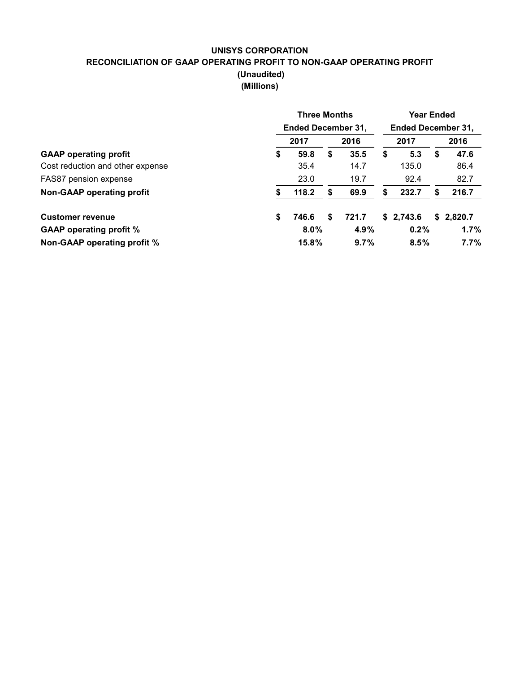# **UNISYS CORPORATION RECONCILIATION OF GAAP OPERATING PROFIT TO NON-GAAP OPERATING PROFIT (Unaudited) (Millions)**

|                                  | <b>Three Months</b>               |   |       |    |                                   | <b>Year Ended</b> |           |  |  |  |  |
|----------------------------------|-----------------------------------|---|-------|----|-----------------------------------|-------------------|-----------|--|--|--|--|
|                                  | <b>Ended December 31,</b><br>2017 |   | 2016  |    | <b>Ended December 31,</b><br>2017 |                   | 2016      |  |  |  |  |
| <b>GAAP</b> operating profit     | \$<br>59.8                        | S | 35.5  | \$ | 5.3                               | S                 | 47.6      |  |  |  |  |
| Cost reduction and other expense | 35.4                              |   | 14.7  |    | 135.0                             |                   | 86.4      |  |  |  |  |
| FAS87 pension expense            | 23.0                              |   | 19.7  |    | 92.4                              |                   | 82.7      |  |  |  |  |
| Non-GAAP operating profit        | 118.2                             | S | 69.9  | S  | 232.7                             | S                 | 216.7     |  |  |  |  |
| <b>Customer revenue</b>          | \$<br>746.6                       | S | 721.7 |    | \$2,743.6                         |                   | \$2.820.7 |  |  |  |  |
| <b>GAAP operating profit %</b>   | $8.0\%$                           |   | 4.9%  |    | 0.2%                              |                   | 1.7%      |  |  |  |  |
| Non-GAAP operating profit %      | 15.8%                             |   | 9.7%  |    | 8.5%                              |                   | $7.7\%$   |  |  |  |  |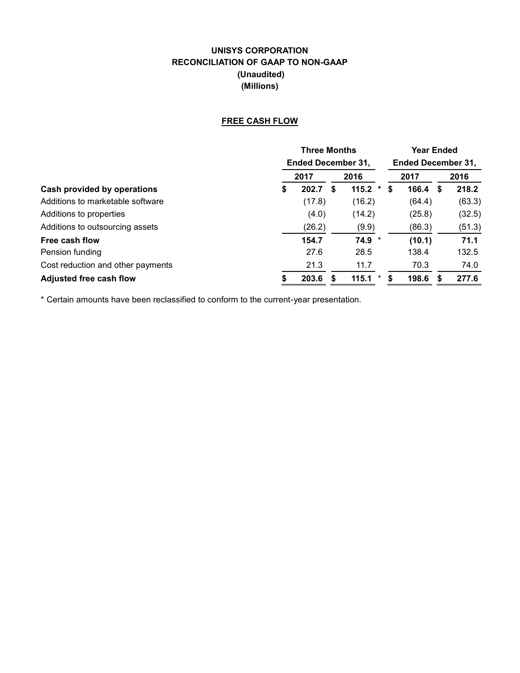# **UNISYS CORPORATION RECONCILIATION OF GAAP TO NON-GAAP (Unaudited) (Millions)**

# **FREE CASH FLOW**

|                                   | <b>Three Months</b>       |        |   |                |   | <b>Year Ended</b>         |   |        |  |  |
|-----------------------------------|---------------------------|--------|---|----------------|---|---------------------------|---|--------|--|--|
|                                   | <b>Ended December 31,</b> |        |   |                |   | <b>Ended December 31,</b> |   |        |  |  |
|                                   |                           | 2017   |   | 2016           |   | 2017                      |   | 2016   |  |  |
| Cash provided by operations       | \$                        | 202.7  | S | 115.2<br>*     | S | 166.4                     | S | 218.2  |  |  |
| Additions to marketable software  |                           | (17.8) |   | (16.2)         |   | (64.4)                    |   | (63.3) |  |  |
| Additions to properties           |                           | (4.0)  |   | (14.2)         |   | (25.8)                    |   | (32.5) |  |  |
| Additions to outsourcing assets   |                           | (26.2) |   | (9.9)          |   | (86.3)                    |   | (51.3) |  |  |
| Free cash flow                    |                           | 154.7  |   | 74.9<br>$\ast$ |   | (10.1)                    |   | 71.1   |  |  |
| Pension funding                   |                           | 27.6   |   | 28.5           |   | 138.4                     |   | 132.5  |  |  |
| Cost reduction and other payments |                           | 21.3   |   | 11.7           |   | 70.3                      |   | 74.0   |  |  |
| <b>Adjusted free cash flow</b>    |                           | 203.6  |   | 115.1<br>*     | S | 198.6                     | S | 277.6  |  |  |

\* Certain amounts have been reclassified to conform to the current-year presentation.